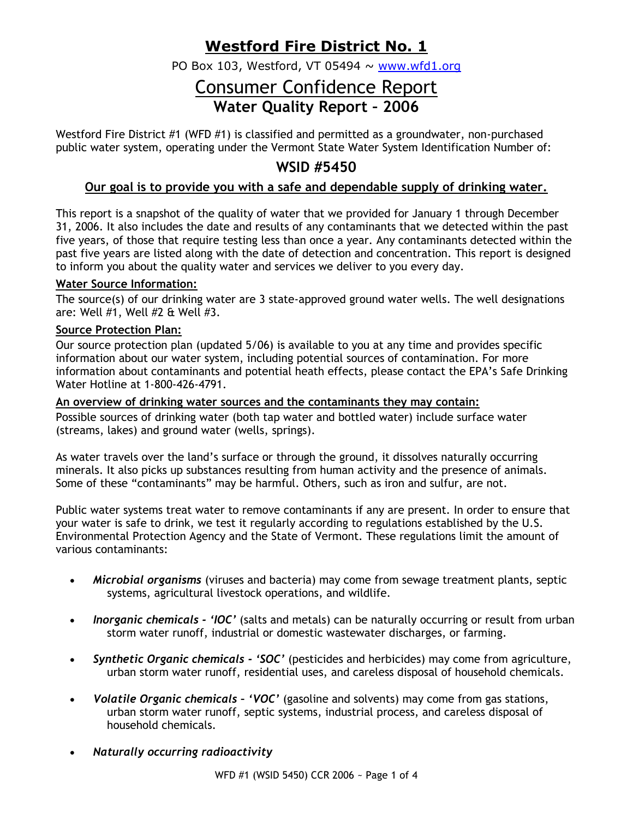## **Westford Fire District No. 1**

PO Box 103, Westford, VT 05494  $\sim$  www.wfd1.org

## Consumer Confidence Report **Water Quality Report – 2006**

Westford Fire District #1 (WFD #1) is classified and permitted as a groundwater, non-purchased public water system, operating under the Vermont State Water System Identification Number of:

## **WSID #5450**

## **Our goal is to provide you with a safe and dependable supply of drinking water.**

This report is a snapshot of the quality of water that we provided for January 1 through December 31, 2006. It also includes the date and results of any contaminants that we detected within the past five years, of those that require testing less than once a year. Any contaminants detected within the past five years are listed along with the date of detection and concentration. This report is designed to inform you about the quality water and services we deliver to you every day.

#### **Water Source Information:**

The source(s) of our drinking water are 3 state-approved ground water wells. The well designations are: Well #1, Well #2 & Well #3.

#### **Source Protection Plan:**

Our source protection plan (updated 5/06) is available to you at any time and provides specific information about our water system, including potential sources of contamination. For more information about contaminants and potential heath effects, please contact the EPA's Safe Drinking Water Hotline at 1-800-426-4791.

#### **An overview of drinking water sources and the contaminants they may contain:**

Possible sources of drinking water (both tap water and bottled water) include surface water (streams, lakes) and ground water (wells, springs).

As water travels over the land's surface or through the ground, it dissolves naturally occurring minerals. It also picks up substances resulting from human activity and the presence of animals. Some of these "contaminants" may be harmful. Others, such as iron and sulfur, are not.

Public water systems treat water to remove contaminants if any are present. In order to ensure that your water is safe to drink, we test it regularly according to regulations established by the U.S. Environmental Protection Agency and the State of Vermont. These regulations limit the amount of various contaminants:

- *Microbial organisms* (viruses and bacteria) may come from sewage treatment plants, septic systems, agricultural livestock operations, and wildlife.
- *Inorganic chemicals - 'IOC'* (salts and metals) can be naturally occurring or result from urban storm water runoff, industrial or domestic wastewater discharges, or farming.
- *Synthetic Organic chemicals - 'SOC'* (pesticides and herbicides) may come from agriculture, urban storm water runoff, residential uses, and careless disposal of household chemicals.
- *Volatile Organic chemicals – 'VOC'* (gasoline and solvents) may come from gas stations, urban storm water runoff, septic systems, industrial process, and careless disposal of household chemicals.
- *Naturally occurring radioactivity*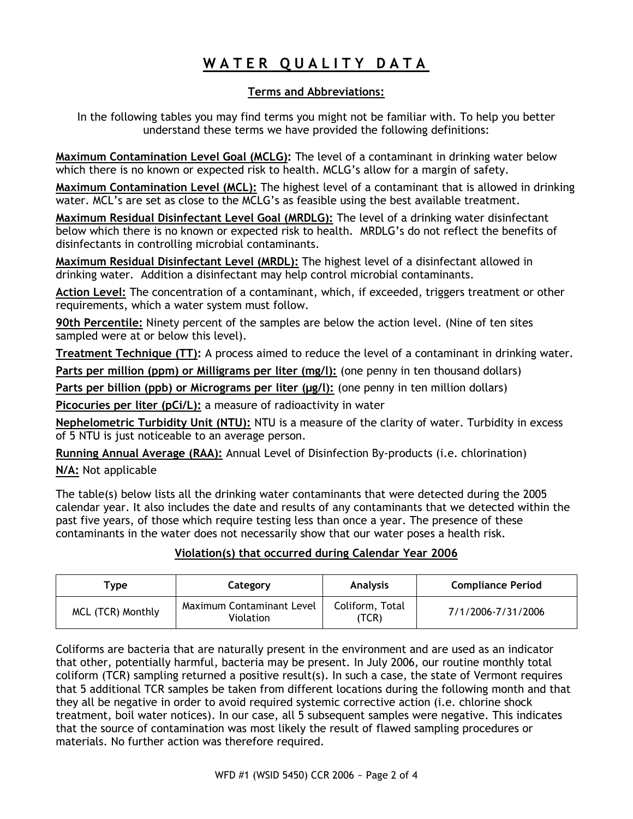# **W A T E R Q U A L I T Y D A T A**

### **Terms and Abbreviations:**

In the following tables you may find terms you might not be familiar with. To help you better understand these terms we have provided the following definitions:

**Maximum Contamination Level Goal (MCLG):** The level of a contaminant in drinking water below which there is no known or expected risk to health. MCLG's allow for a margin of safety.

**Maximum Contamination Level (MCL):** The highest level of a contaminant that is allowed in drinking water. MCL's are set as close to the MCLG's as feasible using the best available treatment.

**Maximum Residual Disinfectant Level Goal (MRDLG):** The level of a drinking water disinfectant below which there is no known or expected risk to health. MRDLG's do not reflect the benefits of disinfectants in controlling microbial contaminants.

**Maximum Residual Disinfectant Level (MRDL):** The highest level of a disinfectant allowed in drinking water. Addition a disinfectant may help control microbial contaminants.

**Action Level:** The concentration of a contaminant, which, if exceeded, triggers treatment or other requirements, which a water system must follow.

**90th Percentile:** Ninety percent of the samples are below the action level. (Nine of ten sites sampled were at or below this level).

**Treatment Technique (TT):** A process aimed to reduce the level of a contaminant in drinking water.

**Parts per million (ppm) or Milligrams per liter (mg/l):** (one penny in ten thousand dollars)

**Parts per billion (ppb) or Micrograms per liter (µg/l):** (one penny in ten million dollars)

**Picocuries per liter (pCi/L):** a measure of radioactivity in water

**Nephelometric Turbidity Unit (NTU):** NTU is a measure of the clarity of water. Turbidity in excess of 5 NTU is just noticeable to an average person.

**Running Annual Average (RAA):** Annual Level of Disinfection By-products (i.e. chlorination)

**N/A:** Not applicable

The table(s) below lists all the drinking water contaminants that were detected during the 2005 calendar year. It also includes the date and results of any contaminants that we detected within the past five years, of those which require testing less than once a year. The presence of these contaminants in the water does not necessarily show that our water poses a health risk.

### **Violation(s) that occurred during Calendar Year 2006**

| $\mathsf{v}$ rvpe | Category                                      | <b>Analysis</b>         | <b>Compliance Period</b> |  |  |
|-------------------|-----------------------------------------------|-------------------------|--------------------------|--|--|
| MCL (TCR) Monthly | Maximum Contaminant Level<br><b>Violation</b> | Coliform, Total<br>TCR) | 7/1/2006-7/31/2006       |  |  |

Coliforms are bacteria that are naturally present in the environment and are used as an indicator that other, potentially harmful, bacteria may be present. In July 2006, our routine monthly total coliform (TCR) sampling returned a positive result(s). In such a case, the state of Vermont requires that 5 additional TCR samples be taken from different locations during the following month and that they all be negative in order to avoid required systemic corrective action (i.e. chlorine shock treatment, boil water notices). In our case, all 5 subsequent samples were negative. This indicates that the source of contamination was most likely the result of flawed sampling procedures or materials. No further action was therefore required.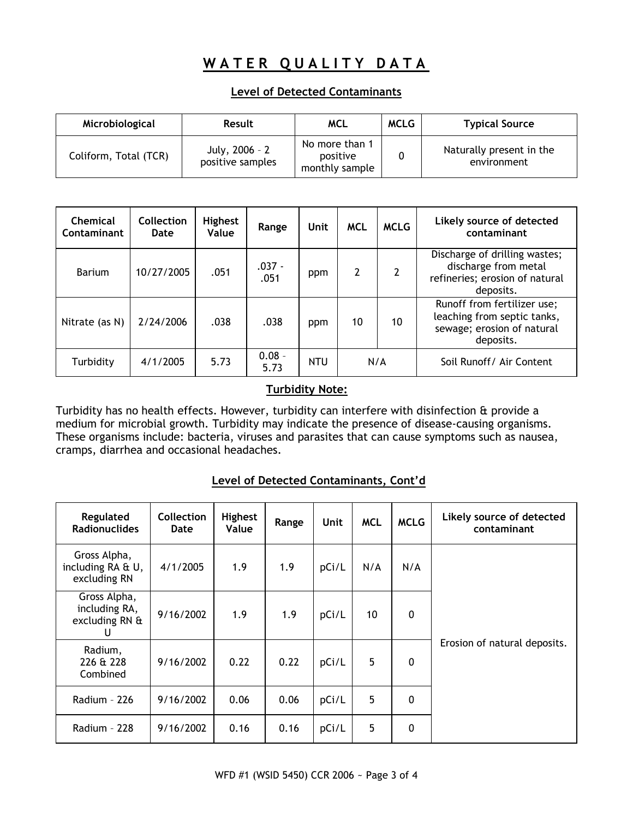# **WATER QUALITY DATA**

#### **Level of Detected Contaminants**

| Microbiological       | <b>Result</b>                      | MCL                                          | <b>MCLG</b> | <b>Typical Source</b>                   |
|-----------------------|------------------------------------|----------------------------------------------|-------------|-----------------------------------------|
| Coliform, Total (TCR) | July, 2006 - 2<br>positive samples | No more than 1<br>positive<br>monthly sample |             | Naturally present in the<br>environment |

| Chemical<br>Contaminant | Collection<br>Date | <b>Highest</b><br>Value | Range            | Unit       | <b>MCL</b> | <b>MCLG</b>    | Likely source of detected<br>contaminant                                                              |
|-------------------------|--------------------|-------------------------|------------------|------------|------------|----------------|-------------------------------------------------------------------------------------------------------|
| Barium                  | 10/27/2005         | .051                    | $.037 -$<br>.051 | ppm        | 2          | $\overline{2}$ | Discharge of drilling wastes;<br>discharge from metal<br>refineries; erosion of natural<br>deposits.  |
| Nitrate (as N)          | 2/24/2006          | .038                    | .038             | ppm        | 10         | 10             | Runoff from fertilizer use;<br>leaching from septic tanks,<br>sewage; erosion of natural<br>deposits. |
| Turbidity               | 4/1/2005           | 5.73                    | $0.08 -$<br>5.73 | <b>NTU</b> | N/A        |                | Soil Runoff/ Air Content                                                                              |

### **Turbidity Note:**

Turbidity has no health effects. However, turbidity can interfere with disinfection & provide a medium for microbial growth. Turbidity may indicate the presence of disease-causing organisms. These organisms include: bacteria, viruses and parasites that can cause symptoms such as nausea, cramps, diarrhea and occasional headaches.

### **Level of Detected Contaminants, Cont'd**

| Regulated<br><b>Radionuclides</b>                    | <b>Collection</b><br>Date | Highest<br>Value | Range | Unit  | <b>MCL</b> | <b>MCLG</b> | Likely source of detected<br>contaminant |  |  |
|------------------------------------------------------|---------------------------|------------------|-------|-------|------------|-------------|------------------------------------------|--|--|
| Gross Alpha,<br>including RA & U,<br>excluding RN    | 4/1/2005                  | 1.9              | 1.9   | pCi/L | N/A        | N/A         |                                          |  |  |
| Gross Alpha,<br>including RA,<br>excluding RN &<br>U | 9/16/2002                 | 1.9              | 1.9   | pCi/L | 10         | $\mathbf 0$ |                                          |  |  |
| Radium,<br>226 & 228<br>Combined                     | 9/16/2002                 | 0.22             | 0.22  | pCi/L | 5          | $\mathbf 0$ | Erosion of natural deposits.             |  |  |
| Radium - 226                                         | 9/16/2002                 | 0.06             | 0.06  | pCi/L | 5          | $\mathbf 0$ |                                          |  |  |
| Radium - 228                                         | 9/16/2002                 | 0.16             | 0.16  | pCi/L | 5          | $\mathbf 0$ |                                          |  |  |